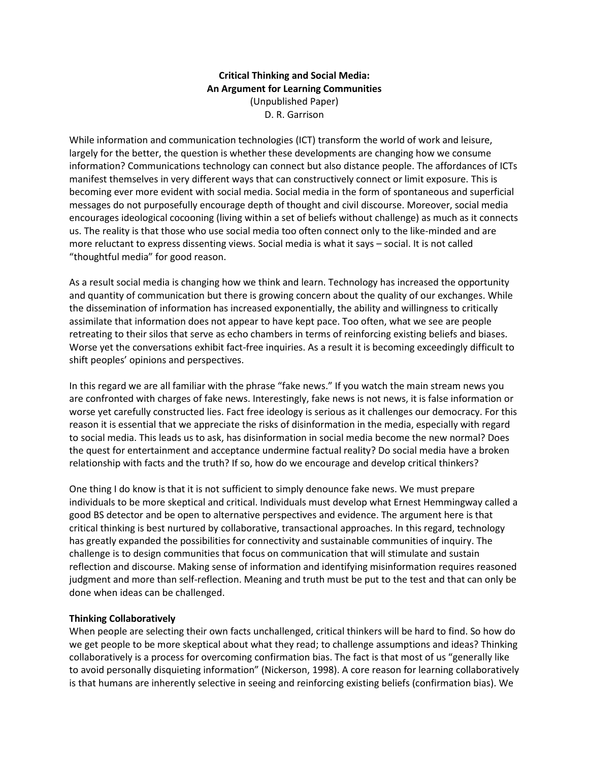# **Critical Thinking and Social Media: An Argument for Learning Communities** (Unpublished Paper) D. R. Garrison

While information and communication technologies (ICT) transform the world of work and leisure, largely for the better, the question is whether these developments are changing how we consume information? Communications technology can connect but also distance people. The affordances of ICTs manifest themselves in very different ways that can constructively connect or limit exposure. This is becoming ever more evident with social media. Social media in the form of spontaneous and superficial messages do not purposefully encourage depth of thought and civil discourse. Moreover, social media encourages ideological cocooning (living within a set of beliefs without challenge) as much as it connects us. The reality is that those who use social media too often connect only to the like-minded and are more reluctant to express dissenting views. Social media is what it says – social. It is not called "thoughtful media" for good reason.

As a result social media is changing how we think and learn. Technology has increased the opportunity and quantity of communication but there is growing concern about the quality of our exchanges. While the dissemination of information has increased exponentially, the ability and willingness to critically assimilate that information does not appear to have kept pace. Too often, what we see are people retreating to their silos that serve as echo chambers in terms of reinforcing existing beliefs and biases. Worse yet the conversations exhibit fact-free inquiries. As a result it is becoming exceedingly difficult to shift peoples' opinions and perspectives.

In this regard we are all familiar with the phrase "fake news." If you watch the main stream news you are confronted with charges of fake news. Interestingly, fake news is not news, it is false information or worse yet carefully constructed lies. Fact free ideology is serious as it challenges our democracy. For this reason it is essential that we appreciate the risks of disinformation in the media, especially with regard to social media. This leads us to ask, has disinformation in social media become the new normal? Does the quest for entertainment and acceptance undermine factual reality? Do social media have a broken relationship with facts and the truth? If so, how do we encourage and develop critical thinkers?

One thing I do know is that it is not sufficient to simply denounce fake news. We must prepare individuals to be more skeptical and critical. Individuals must develop what Ernest Hemmingway called a good BS detector and be open to alternative perspectives and evidence. The argument here is that critical thinking is best nurtured by collaborative, transactional approaches. In this regard, technology has greatly expanded the possibilities for connectivity and sustainable communities of inquiry. The challenge is to design communities that focus on communication that will stimulate and sustain reflection and discourse. Making sense of information and identifying misinformation requires reasoned judgment and more than self-reflection. Meaning and truth must be put to the test and that can only be done when ideas can be challenged.

## **Thinking Collaboratively**

When people are selecting their own facts unchallenged, critical thinkers will be hard to find. So how do we get people to be more skeptical about what they read; to challenge assumptions and ideas? Thinking collaboratively is a process for overcoming confirmation bias. The fact is that most of us "generally like to avoid personally disquieting information" (Nickerson, 1998). A core reason for learning collaboratively is that humans are inherently selective in seeing and reinforcing existing beliefs (confirmation bias). We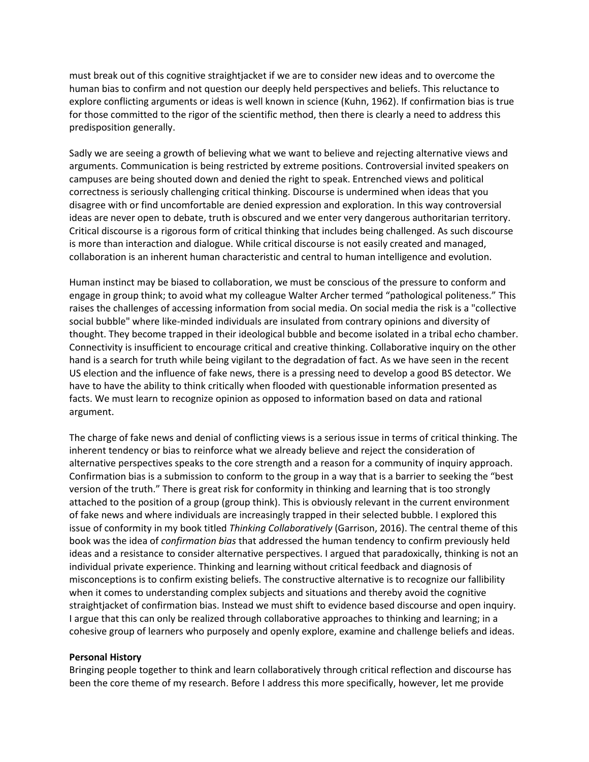must break out of this cognitive straightjacket if we are to consider new ideas and to overcome the human bias to confirm and not question our deeply held perspectives and beliefs. This reluctance to explore conflicting arguments or ideas is well known in science (Kuhn, 1962). If confirmation bias is true for those committed to the rigor of the scientific method, then there is clearly a need to address this predisposition generally.

Sadly we are seeing a growth of believing what we want to believe and rejecting alternative views and arguments. Communication is being restricted by extreme positions. Controversial invited speakers on campuses are being shouted down and denied the right to speak. Entrenched views and political correctness is seriously challenging critical thinking. Discourse is undermined when ideas that you disagree with or find uncomfortable are denied expression and exploration. In this way controversial ideas are never open to debate, truth is obscured and we enter very dangerous authoritarian territory. Critical discourse is a rigorous form of critical thinking that includes being challenged. As such discourse is more than interaction and dialogue. While critical discourse is not easily created and managed, collaboration is an inherent human characteristic and central to human intelligence and evolution.

Human instinct may be biased to collaboration, we must be conscious of the pressure to conform and engage in group think; to avoid what my colleague Walter Archer termed "pathological politeness." This raises the challenges of accessing information from social media. On social media the risk is a "collective social bubble" where like-minded individuals are insulated from contrary opinions and diversity of thought. They become trapped in their ideological bubble and become isolated in a tribal echo chamber. Connectivity is insufficient to encourage critical and creative thinking. Collaborative inquiry on the other hand is a search for truth while being vigilant to the degradation of fact. As we have seen in the recent US election and the influence of fake news, there is a pressing need to develop a good BS detector. We have to have the ability to think critically when flooded with questionable information presented as facts. We must learn to recognize opinion as opposed to information based on data and rational argument.

The charge of fake news and denial of conflicting views is a serious issue in terms of critical thinking. The inherent tendency or bias to reinforce what we already believe and reject the consideration of alternative perspectives speaks to the core strength and a reason for a community of inquiry approach. Confirmation bias is a submission to conform to the group in a way that is a barrier to seeking the "best version of the truth." There is great risk for conformity in thinking and learning that is too strongly attached to the position of a group (group think). This is obviously relevant in the current environment of fake news and where individuals are increasingly trapped in their selected bubble. I explored this issue of conformity in my book titled *Thinking Collaboratively* (Garrison, 2016). The central theme of this book was the idea of *confirmation bias* that addressed the human tendency to confirm previously held ideas and a resistance to consider alternative perspectives. I argued that paradoxically, thinking is not an individual private experience. Thinking and learning without critical feedback and diagnosis of misconceptions is to confirm existing beliefs. The constructive alternative is to recognize our fallibility when it comes to understanding complex subjects and situations and thereby avoid the cognitive straightjacket of confirmation bias. Instead we must shift to evidence based discourse and open inquiry. I argue that this can only be realized through collaborative approaches to thinking and learning; in a cohesive group of learners who purposely and openly explore, examine and challenge beliefs and ideas.

#### **Personal History**

Bringing people together to think and learn collaboratively through critical reflection and discourse has been the core theme of my research. Before I address this more specifically, however, let me provide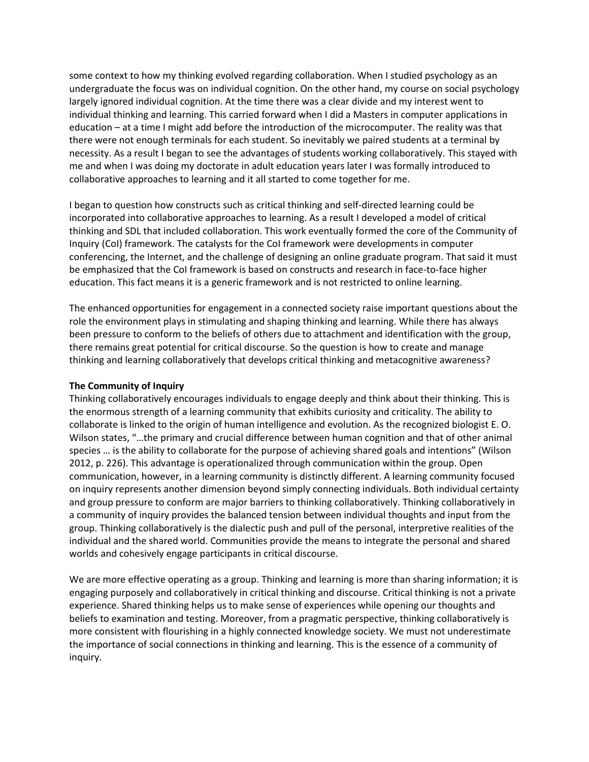some context to how my thinking evolved regarding collaboration. When I studied psychology as an undergraduate the focus was on individual cognition. On the other hand, my course on social psychology largely ignored individual cognition. At the time there was a clear divide and my interest went to individual thinking and learning. This carried forward when I did a Masters in computer applications in education – at a time I might add before the introduction of the microcomputer. The reality was that there were not enough terminals for each student. So inevitably we paired students at a terminal by necessity. As a result I began to see the advantages of students working collaboratively. This stayed with me and when I was doing my doctorate in adult education years later I was formally introduced to collaborative approaches to learning and it all started to come together for me.

I began to question how constructs such as critical thinking and self-directed learning could be incorporated into collaborative approaches to learning. As a result I developed a model of critical thinking and SDL that included collaboration. This work eventually formed the core of the Community of Inquiry (CoI) framework. The catalysts for the CoI framework were developments in computer conferencing, the Internet, and the challenge of designing an online graduate program. That said it must be emphasized that the CoI framework is based on constructs and research in face-to-face higher education. This fact means it is a generic framework and is not restricted to online learning.

The enhanced opportunities for engagement in a connected society raise important questions about the role the environment plays in stimulating and shaping thinking and learning. While there has always been pressure to conform to the beliefs of others due to attachment and identification with the group, there remains great potential for critical discourse. So the question is how to create and manage thinking and learning collaboratively that develops critical thinking and metacognitive awareness?

## **The Community of Inquiry**

Thinking collaboratively encourages individuals to engage deeply and think about their thinking. This is the enormous strength of a learning community that exhibits curiosity and criticality. The ability to collaborate is linked to the origin of human intelligence and evolution. As the recognized biologist E. O. Wilson states, "…the primary and crucial difference between human cognition and that of other animal species … is the ability to collaborate for the purpose of achieving shared goals and intentions" (Wilson 2012, p. 226). This advantage is operationalized through communication within the group. Open communication, however, in a learning community is distinctly different. A learning community focused on inquiry represents another dimension beyond simply connecting individuals. Both individual certainty and group pressure to conform are major barriers to thinking collaboratively. Thinking collaboratively in a community of inquiry provides the balanced tension between individual thoughts and input from the group. Thinking collaboratively is the dialectic push and pull of the personal, interpretive realities of the individual and the shared world. Communities provide the means to integrate the personal and shared worlds and cohesively engage participants in critical discourse.

We are more effective operating as a group. Thinking and learning is more than sharing information; it is engaging purposely and collaboratively in critical thinking and discourse. Critical thinking is not a private experience. Shared thinking helps us to make sense of experiences while opening our thoughts and beliefs to examination and testing. Moreover, from a pragmatic perspective, thinking collaboratively is more consistent with flourishing in a highly connected knowledge society. We must not underestimate the importance of social connections in thinking and learning. This is the essence of a community of inquiry.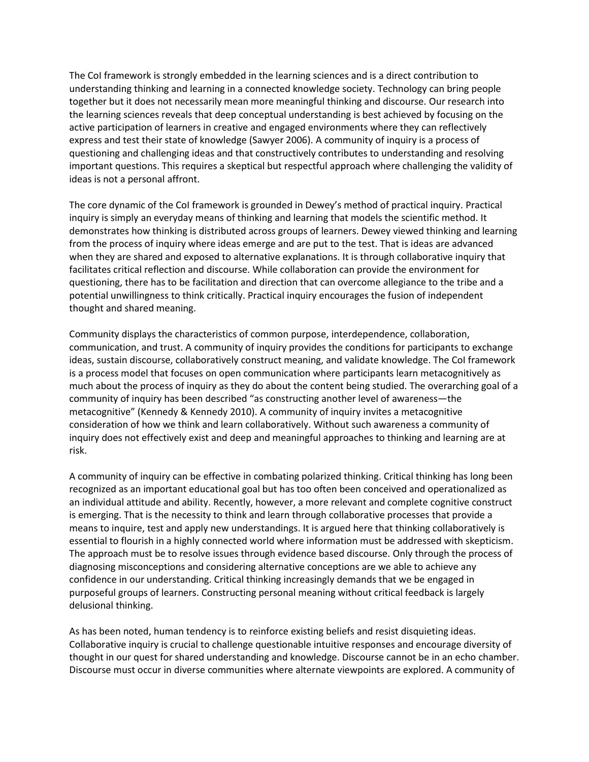The CoI framework is strongly embedded in the learning sciences and is a direct contribution to understanding thinking and learning in a connected knowledge society. Technology can bring people together but it does not necessarily mean more meaningful thinking and discourse. Our research into the learning sciences reveals that deep conceptual understanding is best achieved by focusing on the active participation of learners in creative and engaged environments where they can reflectively express and test their state of knowledge (Sawyer 2006). A community of inquiry is a process of questioning and challenging ideas and that constructively contributes to understanding and resolving important questions. This requires a skeptical but respectful approach where challenging the validity of ideas is not a personal affront.

The core dynamic of the CoI framework is grounded in Dewey's method of practical inquiry. Practical inquiry is simply an everyday means of thinking and learning that models the scientific method. It demonstrates how thinking is distributed across groups of learners. Dewey viewed thinking and learning from the process of inquiry where ideas emerge and are put to the test. That is ideas are advanced when they are shared and exposed to alternative explanations. It is through collaborative inquiry that facilitates critical reflection and discourse. While collaboration can provide the environment for questioning, there has to be facilitation and direction that can overcome allegiance to the tribe and a potential unwillingness to think critically. Practical inquiry encourages the fusion of independent thought and shared meaning.

Community displays the characteristics of common purpose, interdependence, collaboration, communication, and trust. A community of inquiry provides the conditions for participants to exchange ideas, sustain discourse, collaboratively construct meaning, and validate knowledge. The CoI framework is a process model that focuses on open communication where participants learn metacognitively as much about the process of inquiry as they do about the content being studied. The overarching goal of a community of inquiry has been described "as constructing another level of awareness—the metacognitive" (Kennedy & Kennedy 2010). A community of inquiry invites a metacognitive consideration of how we think and learn collaboratively. Without such awareness a community of inquiry does not effectively exist and deep and meaningful approaches to thinking and learning are at risk.

A community of inquiry can be effective in combating polarized thinking. Critical thinking has long been recognized as an important educational goal but has too often been conceived and operationalized as an individual attitude and ability. Recently, however, a more relevant and complete cognitive construct is emerging. That is the necessity to think and learn through collaborative processes that provide a means to inquire, test and apply new understandings. It is argued here that thinking collaboratively is essential to flourish in a highly connected world where information must be addressed with skepticism. The approach must be to resolve issues through evidence based discourse. Only through the process of diagnosing misconceptions and considering alternative conceptions are we able to achieve any confidence in our understanding. Critical thinking increasingly demands that we be engaged in purposeful groups of learners. Constructing personal meaning without critical feedback is largely delusional thinking.

As has been noted, human tendency is to reinforce existing beliefs and resist disquieting ideas. Collaborative inquiry is crucial to challenge questionable intuitive responses and encourage diversity of thought in our quest for shared understanding and knowledge. Discourse cannot be in an echo chamber. Discourse must occur in diverse communities where alternate viewpoints are explored. A community of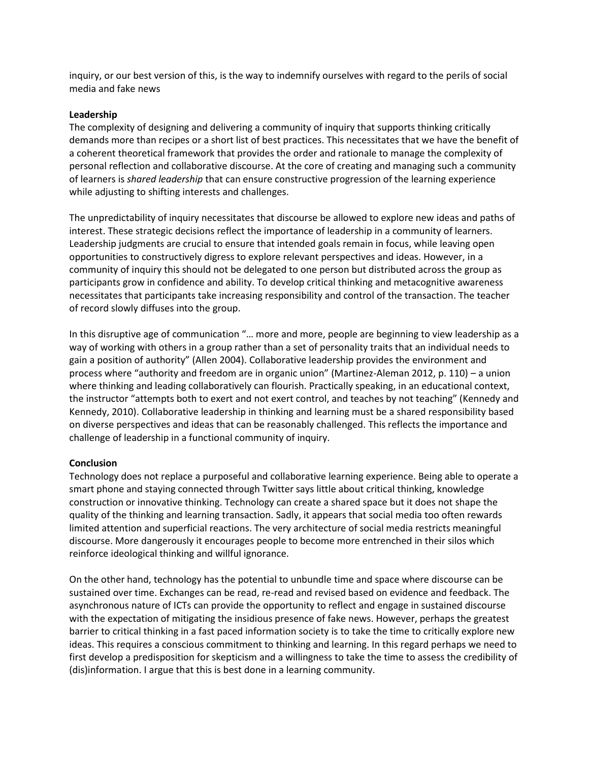inquiry, or our best version of this, is the way to indemnify ourselves with regard to the perils of social media and fake news

### **Leadership**

The complexity of designing and delivering a community of inquiry that supports thinking critically demands more than recipes or a short list of best practices. This necessitates that we have the benefit of a coherent theoretical framework that provides the order and rationale to manage the complexity of personal reflection and collaborative discourse. At the core of creating and managing such a community of learners is *shared leadership* that can ensure constructive progression of the learning experience while adjusting to shifting interests and challenges.

The unpredictability of inquiry necessitates that discourse be allowed to explore new ideas and paths of interest. These strategic decisions reflect the importance of leadership in a community of learners. Leadership judgments are crucial to ensure that intended goals remain in focus, while leaving open opportunities to constructively digress to explore relevant perspectives and ideas. However, in a community of inquiry this should not be delegated to one person but distributed across the group as participants grow in confidence and ability. To develop critical thinking and metacognitive awareness necessitates that participants take increasing responsibility and control of the transaction. The teacher of record slowly diffuses into the group.

In this disruptive age of communication "… more and more, people are beginning to view leadership as a way of working with others in a group rather than a set of personality traits that an individual needs to gain a position of authority" (Allen 2004). Collaborative leadership provides the environment and process where "authority and freedom are in organic union" (Martinez-Aleman 2012, p. 110) – a union where thinking and leading collaboratively can flourish. Practically speaking, in an educational context, the instructor "attempts both to exert and not exert control, and teaches by not teaching" (Kennedy and Kennedy, 2010). Collaborative leadership in thinking and learning must be a shared responsibility based on diverse perspectives and ideas that can be reasonably challenged. This reflects the importance and challenge of leadership in a functional community of inquiry.

#### **Conclusion**

Technology does not replace a purposeful and collaborative learning experience. Being able to operate a smart phone and staying connected through Twitter says little about critical thinking, knowledge construction or innovative thinking. Technology can create a shared space but it does not shape the quality of the thinking and learning transaction. Sadly, it appears that social media too often rewards limited attention and superficial reactions. The very architecture of social media restricts meaningful discourse. More dangerously it encourages people to become more entrenched in their silos which reinforce ideological thinking and willful ignorance.

On the other hand, technology has the potential to unbundle time and space where discourse can be sustained over time. Exchanges can be read, re-read and revised based on evidence and feedback. The asynchronous nature of ICTs can provide the opportunity to reflect and engage in sustained discourse with the expectation of mitigating the insidious presence of fake news. However, perhaps the greatest barrier to critical thinking in a fast paced information society is to take the time to critically explore new ideas. This requires a conscious commitment to thinking and learning. In this regard perhaps we need to first develop a predisposition for skepticism and a willingness to take the time to assess the credibility of (dis)information. I argue that this is best done in a learning community.